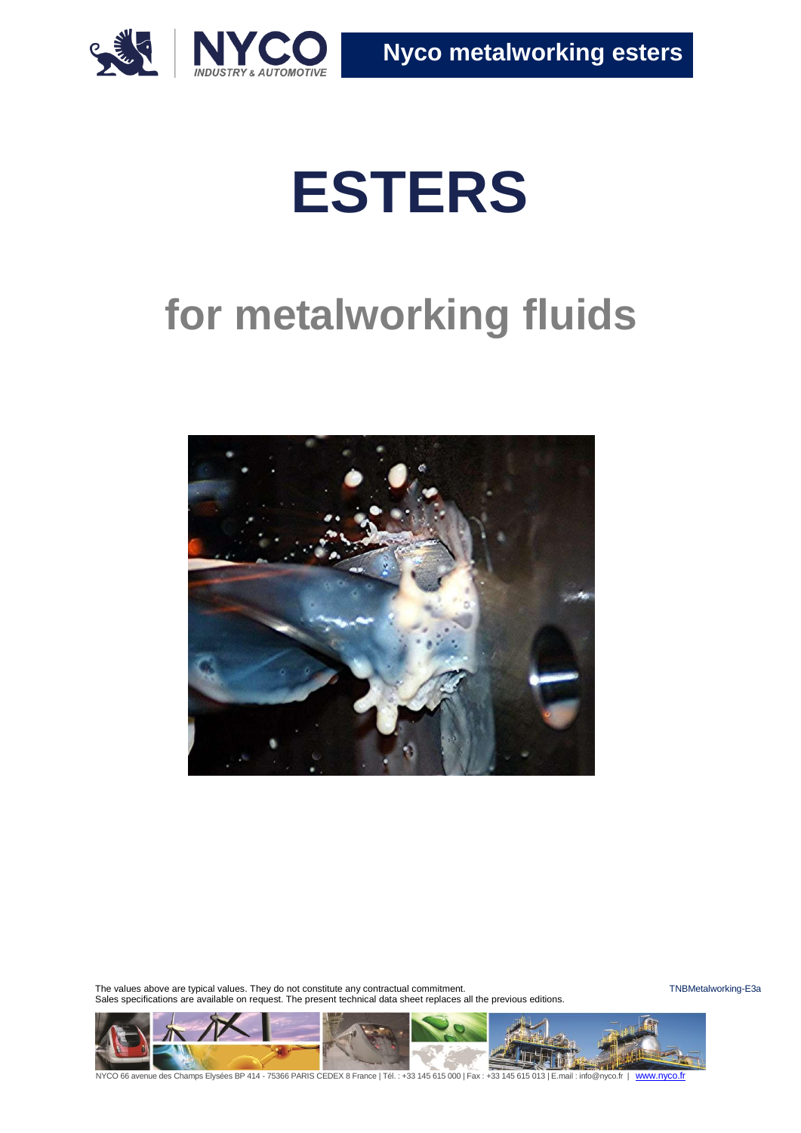

# **ESTERS**

# **for metalworking fluids**



The values above are typical values. They do not constitute any contractual commitment. The values are the must be the TNBMetalworking-E3a Sales specifications are available on request. The present technical data sheet replaces all the previous editions.

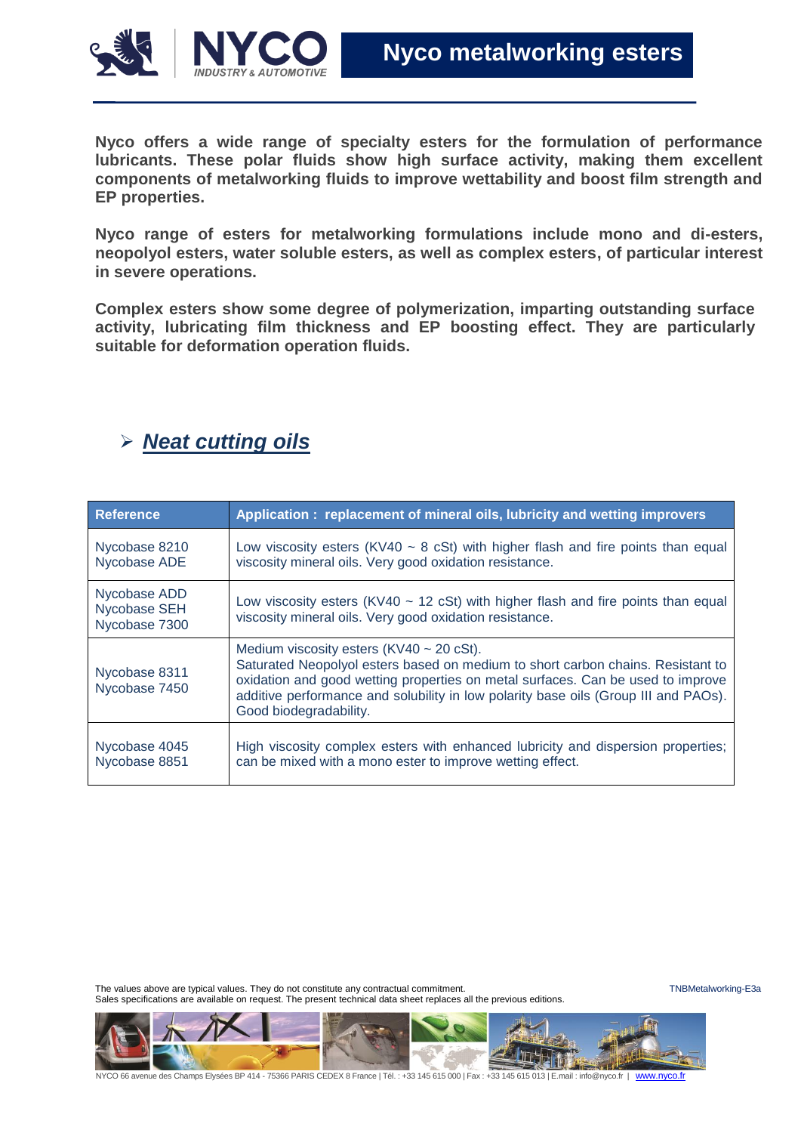

**Nyco offers a wide range of specialty esters for the formulation of performance lubricants. These polar fluids show high surface activity, making them excellent components of metalworking fluids to improve wettability and boost film strength and EP properties.**

**Nyco range of esters for metalworking formulations include mono and di-esters, neopolyol esters, water soluble esters, as well as complex esters, of particular interest in severe operations.**

**Complex esters show some degree of polymerization, imparting outstanding surface activity, lubricating film thickness and EP boosting effect. They are particularly suitable for deformation operation fluids.**

#### *Neat cutting oils*

| <b>Reference</b>                              | Application: replacement of mineral oils, lubricity and wetting improvers                                                                                                                                                                                                                                                             |
|-----------------------------------------------|---------------------------------------------------------------------------------------------------------------------------------------------------------------------------------------------------------------------------------------------------------------------------------------------------------------------------------------|
| Nycobase 8210<br>Nycobase ADE                 | Low viscosity esters (KV40 $\sim$ 8 cSt) with higher flash and fire points than equal<br>viscosity mineral oils. Very good oxidation resistance.                                                                                                                                                                                      |
| Nycobase ADD<br>Nycobase SEH<br>Nycobase 7300 | Low viscosity esters (KV40 $\sim$ 12 cSt) with higher flash and fire points than equal<br>viscosity mineral oils. Very good oxidation resistance.                                                                                                                                                                                     |
| Nycobase 8311<br>Nycobase 7450                | Medium viscosity esters ( $KV40 \sim 20$ cSt).<br>Saturated Neopolyol esters based on medium to short carbon chains. Resistant to<br>oxidation and good wetting properties on metal surfaces. Can be used to improve<br>additive performance and solubility in low polarity base oils (Group III and PAOs).<br>Good biodegradability. |
| Nycobase 4045<br>Nycobase 8851                | High viscosity complex esters with enhanced lubricity and dispersion properties;<br>can be mixed with a mono ester to improve wetting effect.                                                                                                                                                                                         |

The values above are typical values. They do not constitute any contractual commitment. The values are the must be must be a strategy of the values are typical values. The values are typical values. They do not constitute Sales specifications are available on request. The present technical data sheet replaces all the previous editions.

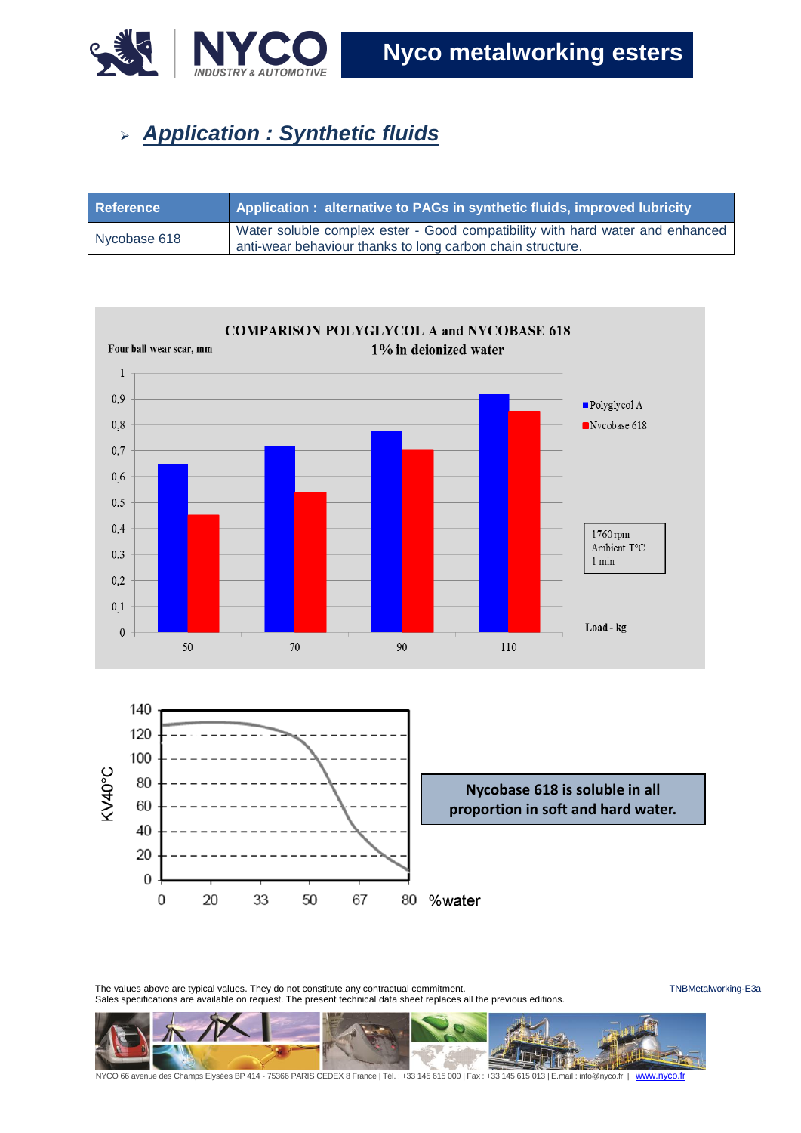

## *Application : Synthetic fluids*

| <b>Reference</b> | Application: alternative to PAGs in synthetic fluids, improved lubricity                                                                    |
|------------------|---------------------------------------------------------------------------------------------------------------------------------------------|
| Nycobase 618     | Water soluble complex ester - Good compatibility with hard water and enhanced<br>anti-wear behaviour thanks to long carbon chain structure. |





The values above are typical values. They do not constitute any contractual commitment. The values are the must be must be a strategy of the values above are typical values. They do not constitute any contractual commitmen Sales specifications are available on request. The present technical data sheet replaces all the previous editions.

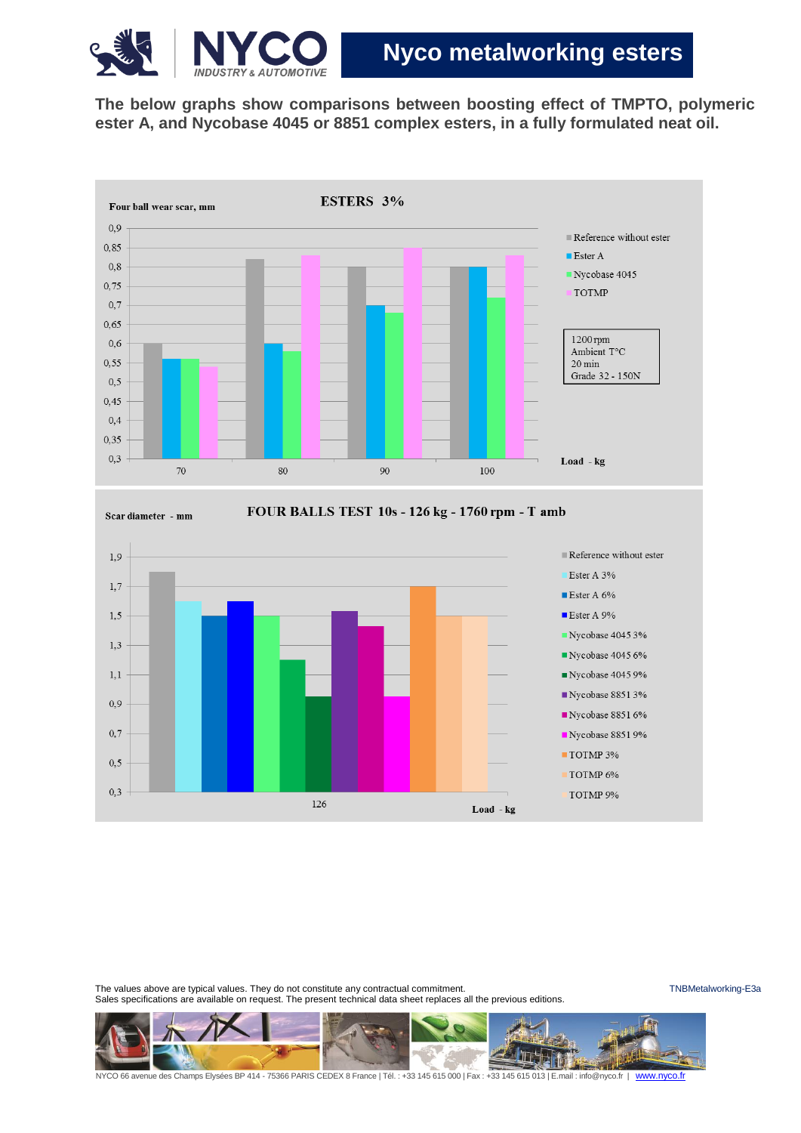

**The below graphs show comparisons between boosting effect of TMPTO, polymeric ester A, and Nycobase 4045 or 8851 complex esters, in a fully formulated neat oil.**





The values above are typical values. They do not constitute any contractual commitment. The values are the must be must be a strategied working-E3a Sales specifications are available on request. The present technical data sheet replaces all the previous editions.

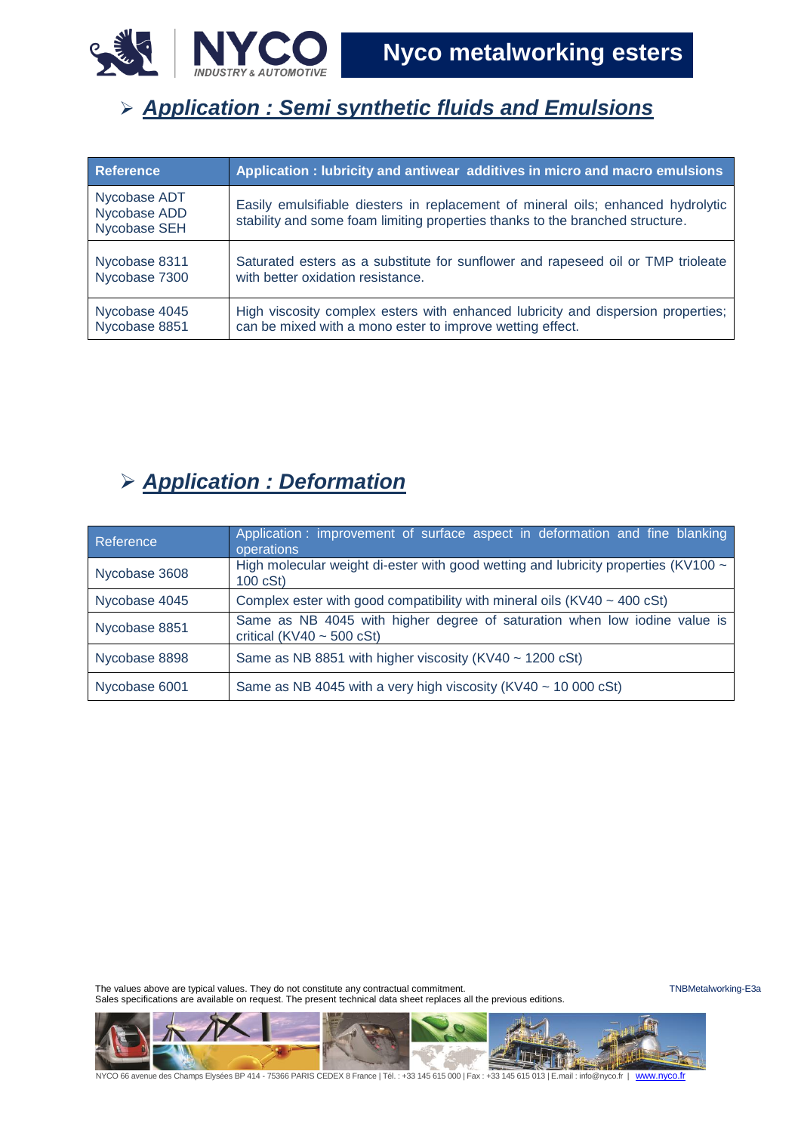

## *Application : Semi synthetic fluids and Emulsions*

| <b>Reference</b>                             | Application : lubricity and antiwear additives in micro and macro emulsions                                                                                       |
|----------------------------------------------|-------------------------------------------------------------------------------------------------------------------------------------------------------------------|
| Nycobase ADT<br>Nycobase ADD<br>Nycobase SEH | Easily emulsifiable diesters in replacement of mineral oils; enhanced hydrolytic<br>stability and some foam limiting properties thanks to the branched structure. |
| Nycobase 8311                                | Saturated esters as a substitute for sunflower and rapeseed oil or TMP trioleate                                                                                  |
| Nycobase 7300                                | with better oxidation resistance.                                                                                                                                 |
| Nycobase 4045                                | High viscosity complex esters with enhanced lubricity and dispersion properties;                                                                                  |
| Nycobase 8851                                | can be mixed with a mono ester to improve wetting effect.                                                                                                         |

#### *Application : Deformation*

| Reference     | Application: improvement of surface aspect in deformation and fine blanking<br>operations                   |  |  |  |  |  |  |  |  |  |  |
|---------------|-------------------------------------------------------------------------------------------------------------|--|--|--|--|--|--|--|--|--|--|
| Nycobase 3608 | High molecular weight di-ester with good wetting and lubricity properties (KV100 ~<br>100 cSt               |  |  |  |  |  |  |  |  |  |  |
| Nycobase 4045 | Complex ester with good compatibility with mineral oils $(KV40 \sim 400 \text{ cSt})$                       |  |  |  |  |  |  |  |  |  |  |
| Nycobase 8851 | Same as NB 4045 with higher degree of saturation when low iodine value is<br>critical (KV40 $\sim$ 500 cSt) |  |  |  |  |  |  |  |  |  |  |
| Nycobase 8898 | Same as NB 8851 with higher viscosity (KV40 $\sim$ 1200 cSt)                                                |  |  |  |  |  |  |  |  |  |  |
| Nycobase 6001 | Same as NB 4045 with a very high viscosity (KV40 $\sim$ 10 000 cSt)                                         |  |  |  |  |  |  |  |  |  |  |

The values above are typical values. They do not constitute any contractual commitment. The values are the must be the TNBMetalworking-E3a Sales specifications are available on request. The present technical data sheet replaces all the previous editions.

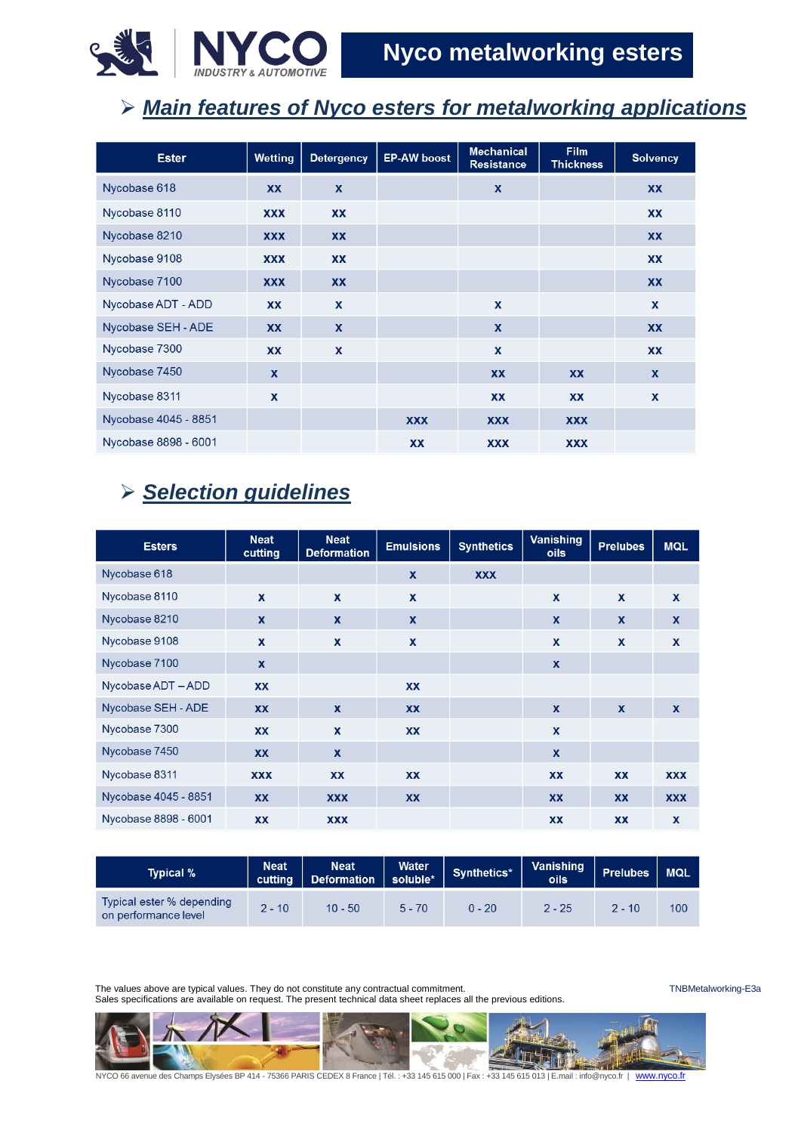

## *Main features of Nyco esters for metalworking applications*

| <b>Ester</b>         | Wetting    | <b>Detergency</b>         | <b>EP-AW boost</b> | <b>Mechanical</b><br><b>Resistance</b> | <b>Film</b><br><b>Thickness</b> | <b>Solvency</b> |
|----------------------|------------|---------------------------|--------------------|----------------------------------------|---------------------------------|-----------------|
| Nycobase 618         | XX         | X                         |                    | X                                      |                                 | XX              |
| Nycobase 8110        | <b>XXX</b> | XX                        |                    |                                        |                                 | XX              |
| Nycobase 8210        | <b>XXX</b> | <b>XX</b>                 |                    |                                        |                                 | <b>XX</b>       |
| Nycobase 9108        | <b>XXX</b> | XX                        |                    |                                        |                                 | XX              |
| Nycobase 7100        | <b>XXX</b> | <b>XX</b>                 |                    |                                        |                                 | <b>XX</b>       |
| Nycobase ADT - ADD   | <b>XX</b>  | $\boldsymbol{\mathsf{x}}$ |                    | $\boldsymbol{\mathsf{x}}$              |                                 | X               |
| Nycobase SEH - ADE   | XX         | X                         |                    | $\boldsymbol{\mathsf{x}}$              |                                 | XX              |
| Nycobase 7300        | <b>XX</b>  | $\mathbf x$               |                    | $\mathbf x$                            |                                 | <b>XX</b>       |
| Nycobase 7450        | X          |                           |                    | XX                                     | <b>XX</b>                       | $\mathbf{x}$    |
| Nycobase 8311        | X          |                           |                    | <b>XX</b>                              | <b>XX</b>                       | X               |
| Nycobase 4045 - 8851 |            |                           | <b>XXX</b>         | <b>XXX</b>                             | <b>XXX</b>                      |                 |
| Nycobase 8898 - 6001 |            |                           | XX                 | <b>XXX</b>                             | <b>XXX</b>                      |                 |

#### *Selection guidelines*

| <b>Esters</b>        | <b>Neat</b><br>cutting    | <b>Neat</b><br><b>Deformation</b> | <b>Emulsions</b> | <b>Synthetics</b> | Vanishing<br><b>oils</b>  | <b>Prelubes</b>  | <b>MQL</b>                |
|----------------------|---------------------------|-----------------------------------|------------------|-------------------|---------------------------|------------------|---------------------------|
| Nycobase 618         |                           |                                   | $\mathbf{x}$     | <b>XXX</b>        |                           |                  |                           |
| Nycobase 8110        | $\mathbf{x}$              | $\mathbf{x}$                      | $\mathbf{x}$     |                   | $\mathbf{x}$              | $\mathbf{x}$     | $\mathbf{x}$              |
| Nycobase 8210        | $\boldsymbol{\mathsf{x}}$ | $\boldsymbol{\mathsf{x}}$         | $\boldsymbol{x}$ |                   | $\mathbf x$               | $\boldsymbol{x}$ | $\boldsymbol{x}$          |
| Nycobase 9108        | X                         | $\mathbf{x}$                      | $\mathbf{x}$     |                   | $\boldsymbol{\mathsf{x}}$ | $\mathbf{x}$     | $\mathbf{x}$              |
| Nycobase 7100        | $\mathbf x$               |                                   |                  |                   | X                         |                  |                           |
| Nycobase ADT - ADD   | <b>XX</b>                 |                                   | <b>XX</b>        |                   |                           |                  |                           |
| Nycobase SEH - ADE   | <b>XX</b>                 | $\mathbf{x}$                      | <b>XX</b>        |                   | $\mathbf{x}$              | $\mathbf{x}$     | $\boldsymbol{\mathsf{x}}$ |
| Nycobase 7300        | <b>XX</b>                 | $\mathbf{x}$                      | <b>XX</b>        |                   | $\mathbf x$               |                  |                           |
| Nycobase 7450        | <b>XX</b>                 | $\mathbf{x}$                      |                  |                   | $\boldsymbol{\mathsf{x}}$ |                  |                           |
| Nycobase 8311        | <b>XXX</b>                | XX                                | XX               |                   | XX                        | XX               | <b>XXX</b>                |
| Nycobase 4045 - 8851 | <b>XX</b>                 | <b>XXX</b>                        | <b>XX</b>        |                   | <b>XX</b>                 | <b>XX</b>        | <b>XXX</b>                |
| Nycobase 8898 - 6001 | <b>XX</b>                 | <b>XXX</b>                        |                  |                   | <b>XX</b>                 | <b>XX</b>        | $\boldsymbol{\mathsf{x}}$ |

| Typical %                                         | Water<br><b>Neat</b><br><b>Neat</b><br>Synthetics*<br>soluble*<br><b>Deformation</b><br>cutting |           | Vanishing<br><b>oils</b> | <b>Prelubes</b> | <b>MQL</b> |          |     |
|---------------------------------------------------|-------------------------------------------------------------------------------------------------|-----------|--------------------------|-----------------|------------|----------|-----|
| Typical ester % depending<br>on performance level | $2 - 10$                                                                                        | $10 - 50$ | $5 - 70$                 | $0 - 20$        | $2 - 25$   | $2 - 10$ | 100 |

The values above are typical values. They do not constitute any contractual commitment. The values above are typical values. They do not constitute any contractual commitment. Sales specifications are available on request. The present technical data sheet replaces all the previous editions.